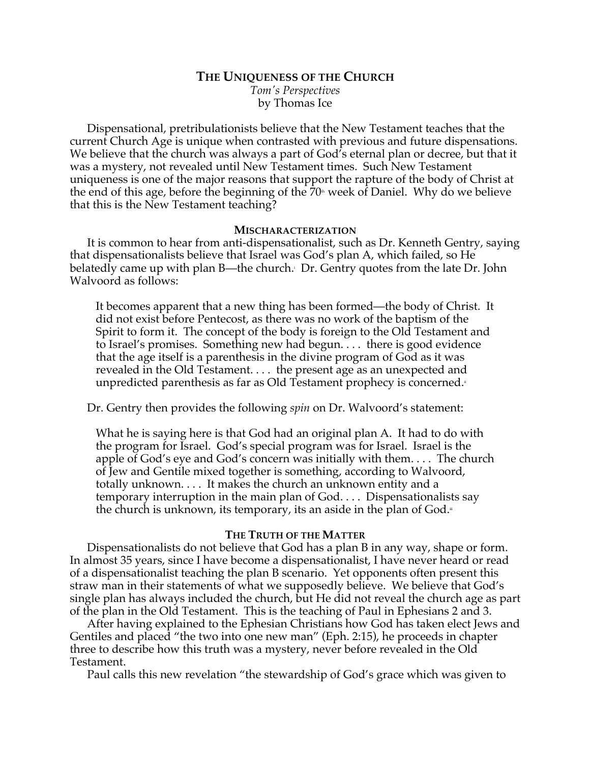# **THE UNIQUENESS OF THE CHURCH**

*Tom's Perspectives* by Thomas Ice

Dispensational, pretribulationists believe that the New Testament teaches that the current Church Age is unique when contrasted with previous and future dispensations. We believe that the church was always a part of God's eternal plan or decree, but that it was a mystery, not revealed until New Testament times. Such New Testament uniqueness is one of the major reasons that support the rapture of the body of Christ at the end of this age, before the beginning of the  $70<sup>th</sup>$  week of Daniel. Why do we believe that this is the New Testament teaching?

#### **MISCHARACTERIZATION**

It is common to hear from anti-dispensationalist, such as Dr. Kenneth Gentry, saying that dispensationalists believe that Israel was God's plan A, which failed, so He belatedly came up with plan B—the church. Dr. Gentry quotes from the late Dr. John Walvoord as follows:

It becomes apparent that a new thing has been formed—the body of Christ. It did not exist before Pentecost, as there was no work of the baptism of the Spirit to form it. The concept of the body is foreign to the Old Testament and to Israel's promises. Something new had begun. . . . there is good evidence that the age itself is a parenthesis in the divine program of God as it was revealed in the Old Testament. . . . the present age as an unexpected and unpredicted parenthesis as far as Old Testament prophecy is concerned.

Dr. Gentry then provides the following *spin* on Dr. Walvoord's statement:

What he is saying here is that God had an original plan A. It had to do with the program for Israel. God's special program was for Israel. Israel is the apple of God's eye and God's concern was initially with them. . . . The church of Jew and Gentile mixed together is something, according to Walvoord, totally unknown. . . . It makes the church an unknown entity and a temporary interruption in the main plan of God. . . . Dispensationalists say the church is unknown, its temporary, its an aside in the plan of  $God.$ 

# **THE TRUTH OF THE MATTER**

Dispensationalists do not believe that God has a plan B in any way, shape or form. In almost 35 years, since I have become a dispensationalist, I have never heard or read of a dispensationalist teaching the plan B scenario. Yet opponents often present this straw man in their statements of what we supposedly believe. We believe that God's single plan has always included the church, but He did not reveal the church age as part of the plan in the Old Testament. This is the teaching of Paul in Ephesians 2 and 3.

After having explained to the Ephesian Christians how God has taken elect Jews and Gentiles and placed "the two into one new man" (Eph. 2:15), he proceeds in chapter three to describe how this truth was a mystery, never before revealed in the Old Testament.

Paul calls this new revelation "the stewardship of God's grace which was given to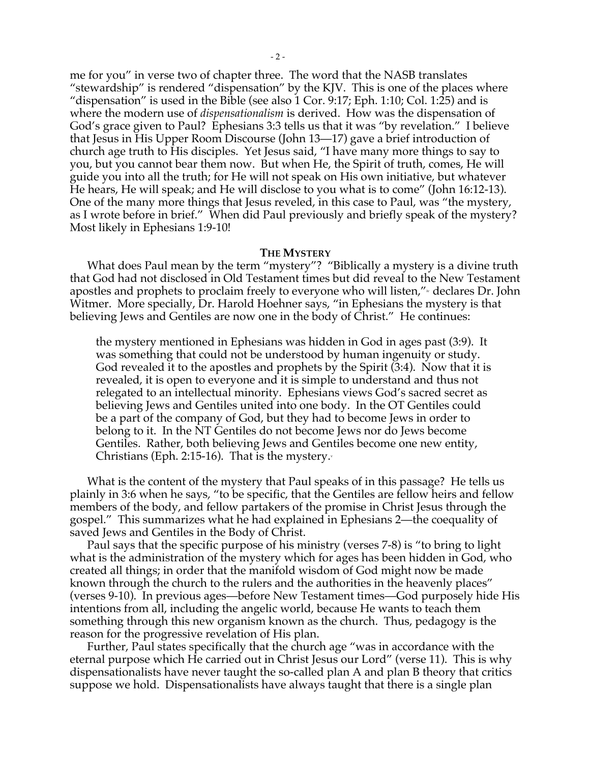me for you" in verse two of chapter three. The word that the NASB translates "stewardship" is rendered "dispensation" by the KJV. This is one of the places where "dispensation" is used in the Bible (see also 1 Cor. 9:17; Eph. 1:10; Col. 1:25) and is where the modern use of *dispensationalism* is derived. How was the dispensation of God's grace given to Paul? Ephesians 3:3 tells us that it was "by revelation." I believe that Jesus in His Upper Room Discourse (John 13—17) gave a brief introduction of church age truth to His disciples. Yet Jesus said, "I have many more things to say to you, but you cannot bear them now. But when He, the Spirit of truth, comes, He will guide you into all the truth; for He will not speak on His own initiative, but whatever He hears, He will speak; and He will disclose to you what is to come" (John 16:12-13). One of the many more things that Jesus reveled, in this case to Paul, was "the mystery, as I wrote before in brief." When did Paul previously and briefly speak of the mystery? Most likely in Ephesians 1:9-10!

## **THE MYSTERY**

What does Paul mean by the term "mystery"? "Biblically a mystery is a divine truth that God had not disclosed in Old Testament times but did reveal to the New Testament apostles and prophets to proclaim freely to everyone who will listen,"<sup>\*</sup> declares Dr. John Witmer. More specially, Dr. Harold Hoehner says, "in Ephesians the mystery is that believing Jews and Gentiles are now one in the body of Christ." He continues:

the mystery mentioned in Ephesians was hidden in God in ages past (3:9). It was something that could not be understood by human ingenuity or study. God revealed it to the apostles and prophets by the Spirit (3:4). Now that it is revealed, it is open to everyone and it is simple to understand and thus not relegated to an intellectual minority. Ephesians views God's sacred secret as believing Jews and Gentiles united into one body. In the OT Gentiles could be a part of the company of God, but they had to become Jews in order to belong to it. In the NT Gentiles do not become Jews nor do Jews become Gentiles. Rather, both believing Jews and Gentiles become one new entity, Christians (Eph. 2:15-16). That is the mystery. $\cdot$ 

What is the content of the mystery that Paul speaks of in this passage? He tells us plainly in 3:6 when he says, "to be specific, that the Gentiles are fellow heirs and fellow members of the body, and fellow partakers of the promise in Christ Jesus through the gospel." This summarizes what he had explained in Ephesians 2—the coequality of saved Jews and Gentiles in the Body of Christ.

Paul says that the specific purpose of his ministry (verses 7-8) is "to bring to light what is the administration of the mystery which for ages has been hidden in God, who created all things; in order that the manifold wisdom of God might now be made known through the church to the rulers and the authorities in the heavenly places" (verses 9-10). In previous ages—before New Testament times—God purposely hide His intentions from all, including the angelic world, because He wants to teach them something through this new organism known as the church. Thus, pedagogy is the reason for the progressive revelation of His plan.

Further, Paul states specifically that the church age "was in accordance with the eternal purpose which He carried out in Christ Jesus our Lord" (verse 11). This is why dispensationalists have never taught the so-called plan A and plan B theory that critics suppose we hold. Dispensationalists have always taught that there is a single plan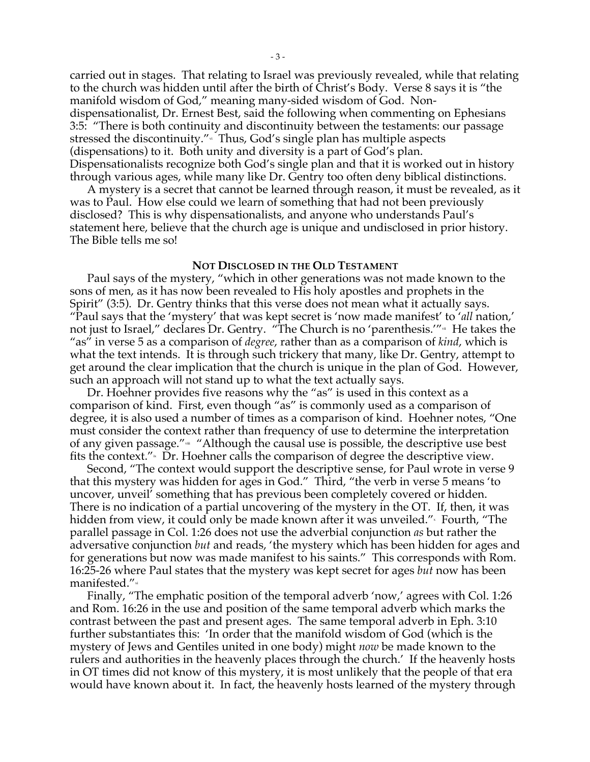carried out in stages. That relating to Israel was previously revealed, while that relating to the church was hidden until after the birth of Christ's Body. Verse 8 says it is "the manifold wisdom of God," meaning many-sided wisdom of God. Nondispensationalist, Dr. Ernest Best, said the following when commenting on Ephesians 3:5: "There is both continuity and discontinuity between the testaments: our passage stressed the discontinuity." Thus, God's single plan has multiple aspects (dispensations) to it. Both unity and diversity is a part of God's plan. Dispensationalists recognize both God's single plan and that it is worked out in history through various ages, while many like Dr. Gentry too often deny biblical distinctions.

A mystery is a secret that cannot be learned through reason, it must be revealed, as it was to Paul. How else could we learn of something that had not been previously disclosed? This is why dispensationalists, and anyone who understands Paul's statement here, believe that the church age is unique and undisclosed in prior history. The Bible tells me so!

## **NOT DISCLOSED IN THE OLD TESTAMENT**

Paul says of the mystery, "which in other generations was not made known to the sons of men, as it has now been revealed to His holy apostles and prophets in the Spirit" (3:5). Dr. Gentry thinks that this verse does not mean what it actually says. "Paul says that the 'mystery' that was kept secret is 'now made manifest' to '*all* nation,' not just to Israel," declares Dr. Gentry. "The Church is no 'parenthesis."<sup>"</sup> He takes the "as" in verse 5 as a comparison of *degree*, rather than as a comparison of *kind*, which is what the text intends. It is through such trickery that many, like Dr. Gentry, attempt to get around the clear implication that the church is unique in the plan of God. However, such an approach will not stand up to what the text actually says.

Dr. Hoehner provides five reasons why the "as" is used in this context as a comparison of kind. First, even though "as" is commonly used as a comparison of degree, it is also used a number of times as a comparison of kind. Hoehner notes, "One must consider the context rather than frequency of use to determine the interpretation of any given passage."<sup>\*</sup> "Although the causal use is possible, the descriptive use best fits the context."<sub>"</sub> Dr. Hoehner calls the comparison of degree the descriptive view.

Second, "The context would support the descriptive sense, for Paul wrote in verse 9 that this mystery was hidden for ages in God." Third, "the verb in verse 5 means 'to uncover, unveil' something that has previous been completely covered or hidden. There is no indication of a partial uncovering of the mystery in the OT. If, then, it was hidden from view, it could only be made known after it was unveiled."<sup>、</sup>Fourth, "The parallel passage in Col. 1:26 does not use the adverbial conjunction *as* but rather the adversative conjunction *but* and reads, 'the mystery which has been hidden for ages and for generations but now was made manifest to his saints." This corresponds with Rom. 16:25-26 where Paul states that the mystery was kept secret for ages *but* now has been manifested."<sup>xi</sup>

Finally, "The emphatic position of the temporal adverb 'now,' agrees with Col. 1:26 and Rom. 16:26 in the use and position of the same temporal adverb which marks the contrast between the past and present ages. The same temporal adverb in Eph. 3:10 further substantiates this: 'In order that the manifold wisdom of God (which is the mystery of Jews and Gentiles united in one body) might *now* be made known to the rulers and authorities in the heavenly places through the church.' If the heavenly hosts in OT times did not know of this mystery, it is most unlikely that the people of that era would have known about it. In fact, the heavenly hosts learned of the mystery through